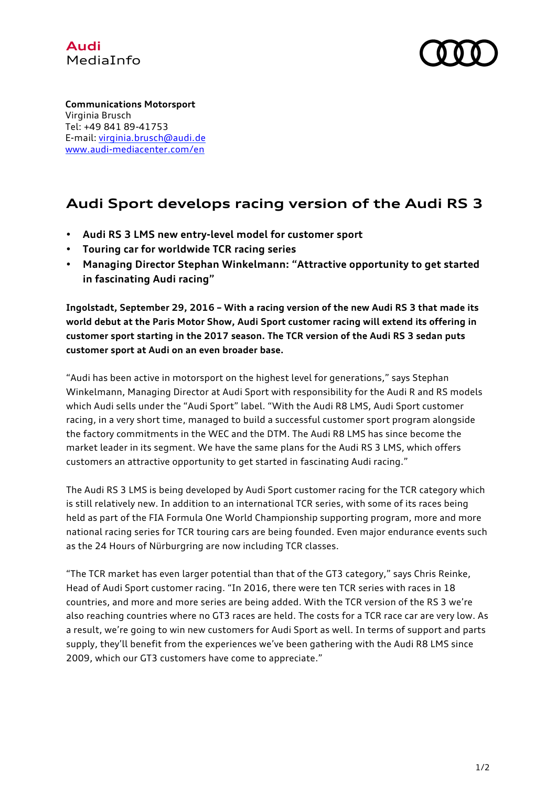



**Communications Motorsport** Virginia Brusch Tel: +49 841 89-41753 E-mail: virginia.brusch@audi.de www.audi-mediacenter.com/en

## **Audi Sport develops racing version of the Audi RS 3**

- **Audi RS 3 LMS new entry-level model for customer sport**
- **Touring car for worldwide TCR racing series**
- **Managing Director Stephan Winkelmann: "Attractive opportunity to get started in fascinating Audi racing"**

**Ingolstadt, September 29, 2016 – With a racing version of the new Audi RS 3 that made its world debut at the Paris Motor Show, Audi Sport customer racing will extend its offering in customer sport starting in the 2017 season. The TCR version of the Audi RS 3 sedan puts customer sport at Audi on an even broader base.**

"Audi has been active in motorsport on the highest level for generations," says Stephan Winkelmann, Managing Director at Audi Sport with responsibility for the Audi R and RS models which Audi sells under the "Audi Sport" label. "With the Audi R8 LMS, Audi Sport customer racing, in a very short time, managed to build a successful customer sport program alongside the factory commitments in the WEC and the DTM. The Audi R8 LMS has since become the market leader in its segment. We have the same plans for the Audi RS 3 LMS, which offers customers an attractive opportunity to get started in fascinating Audi racing."

The Audi RS 3 LMS is being developed by Audi Sport customer racing for the TCR category which is still relatively new. In addition to an international TCR series, with some of its races being held as part of the FIA Formula One World Championship supporting program, more and more national racing series for TCR touring cars are being founded. Even major endurance events such as the 24 Hours of Nürburgring are now including TCR classes.

"The TCR market has even larger potential than that of the GT3 category," says Chris Reinke, Head of Audi Sport customer racing. "In 2016, there were ten TCR series with races in 18 countries, and more and more series are being added. With the TCR version of the RS 3 we're also reaching countries where no GT3 races are held. The costs for a TCR race car are very low. As a result, we're going to win new customers for Audi Sport as well. In terms of support and parts supply, they'll benefit from the experiences we've been gathering with the Audi R8 LMS since 2009, which our GT3 customers have come to appreciate."